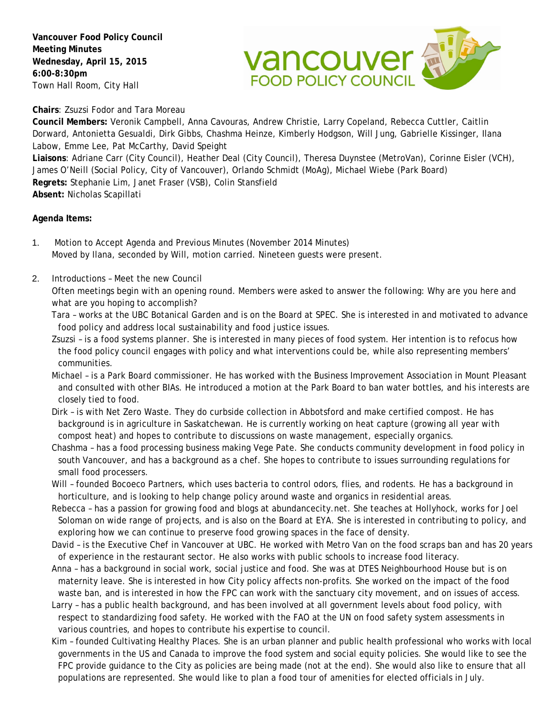**Vancouver Food Policy Council Meeting Minutes Wednesday, April 15, 2015 6:00-8:30pm** Town Hall Room, City Hall



**Chairs**: Zsuzsi Fodor and Tara Moreau

**Council Members:** Veronik Campbell, Anna Cavouras, Andrew Christie, Larry Copeland, Rebecca Cuttler, Caitlin Dorward, Antonietta Gesualdi, Dirk Gibbs, Chashma Heinze, Kimberly Hodgson, Will Jung, Gabrielle Kissinger, Ilana Labow, Emme Lee, Pat McCarthy, David Speight **Liaisons**: Adriane Carr (City Council), Heather Deal (City Council), Theresa Duynstee (MetroVan), Corinne Eisler (VCH),

James O'Neill (Social Policy, City of Vancouver), Orlando Schmidt (MoAg), Michael Wiebe (Park Board) **Regrets:** Stephanie Lim, Janet Fraser (VSB), Colin Stansfield **Absent:** Nicholas Scapillati

## **Agenda Items:**

- 1. Motion to Accept Agenda and Previous Minutes (November 2014 Minutes) Moved by Ilana, seconded by Will, motion carried. Nineteen guests were present.
- 2. Introductions Meet the new Council

Often meetings begin with an opening round. Members were asked to answer the following: Why are you here and what are you hoping to accomplish?

Tara – works at the UBC Botanical Garden and is on the Board at SPEC. She is interested in and motivated to advance food policy and address local sustainability and food justice issues.

- Zsuzsi is a food systems planner. She is interested in many pieces of food system. Her intention is to refocus how the food policy council engages with policy and what interventions could be, while also representing members' communities.
- Michael is a Park Board commissioner. He has worked with the Business Improvement Association in Mount Pleasant and consulted with other BIAs. He introduced a motion at the Park Board to ban water bottles, and his interests are closely tied to food.
- Dirk is with Net Zero Waste. They do curbside collection in Abbotsford and make certified compost. He has background is in agriculture in Saskatchewan. He is currently working on heat capture (growing all year with compost heat) and hopes to contribute to discussions on waste management, especially organics.
- Chashma has a food processing business making Vege Pate. She conducts community development in food policy in south Vancouver, and has a background as a chef. She hopes to contribute to issues surrounding regulations for small food processers.
- Will founded Bocoeco Partners, which uses bacteria to control odors, flies, and rodents. He has a background in horticulture, and is looking to help change policy around waste and organics in residential areas.
- Rebecca has a passion for growing food and blogs at abundancecity.net. She teaches at Hollyhock, works for Joel Soloman on wide range of projects, and is also on the Board at EYA. She is interested in contributing to policy, and exploring how we can continue to preserve food growing spaces in the face of density.
- David is the Executive Chef in Vancouver at UBC. He worked with Metro Van on the food scraps ban and has 20 years of experience in the restaurant sector. He also works with public schools to increase food literacy.
- Anna has a background in social work, social justice and food. She was at DTES Neighbourhood House but is on maternity leave. She is interested in how City policy affects non-profits. She worked on the impact of the food waste ban, and is interested in how the FPC can work with the sanctuary city movement, and on issues of access.
- Larry has a public health background, and has been involved at all government levels about food policy, with respect to standardizing food safety. He worked with the FAO at the UN on food safety system assessments in various countries, and hopes to contribute his expertise to council.
- Kim founded Cultivating Healthy Places. She is an urban planner and public health professional who works with local governments in the US and Canada to improve the food system and social equity policies. She would like to see the FPC provide guidance to the City as policies are being made (not at the end). She would also like to ensure that all populations are represented. She would like to plan a food tour of amenities for elected officials in July.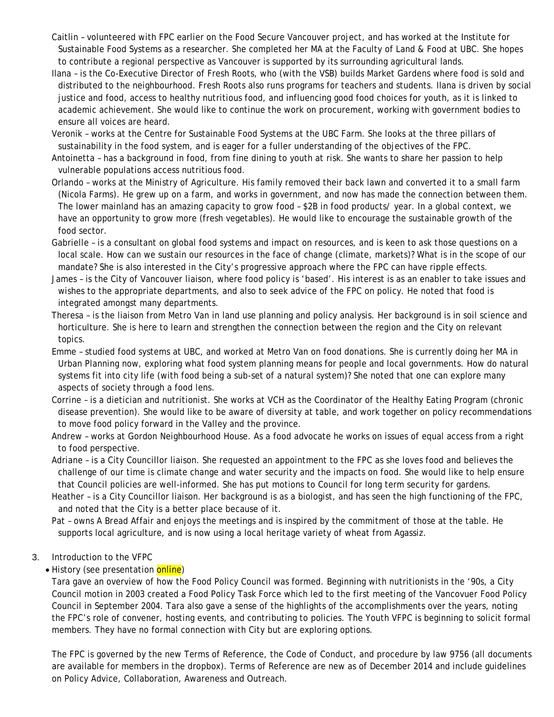- Caitlin volunteered with FPC earlier on the Food Secure Vancouver project, and has worked at the Institute for Sustainable Food Systems as a researcher. She completed her MA at the Faculty of Land & Food at UBC. She hopes to contribute a regional perspective as Vancouver is supported by its surrounding agricultural lands.
- Ilana is the Co-Executive Director of Fresh Roots, who (with the VSB) builds Market Gardens where food is sold and distributed to the neighbourhood. Fresh Roots also runs programs for teachers and students. Ilana is driven by social justice and food, access to healthy nutritious food, and influencing good food choices for youth, as it is linked to academic achievement. She would like to continue the work on procurement, working with government bodies to ensure all voices are heard.
- Veronik works at the Centre for Sustainable Food Systems at the UBC Farm. She looks at the three pillars of sustainability in the food system, and is eager for a fuller understanding of the objectives of the FPC.
- Antoinetta has a background in food, from fine dining to youth at risk. She wants to share her passion to help vulnerable populations access nutritious food.
- Orlando works at the Ministry of Agriculture. His family removed their back lawn and converted it to a small farm (Nicola Farms). He grew up on a farm, and works in government, and now has made the connection between them. The lower mainland has an amazing capacity to grow food – \$2B in food products/ year. In a global context, we have an opportunity to grow more (fresh vegetables). He would like to encourage the sustainable growth of the food sector.
- Gabrielle is a consultant on global food systems and impact on resources, and is keen to ask those questions on a local scale. How can we sustain our resources in the face of change (climate, markets)? What is in the scope of our mandate? She is also interested in the City's progressive approach where the FPC can have ripple effects.
- James is the City of Vancouver liaison, where food policy is 'based'. His interest is as an enabler to take issues and wishes to the appropriate departments, and also to seek advice of the FPC on policy. He noted that food is integrated amongst many departments.
- Theresa is the liaison from Metro Van in land use planning and policy analysis. Her background is in soil science and horticulture. She is here to learn and strengthen the connection between the region and the City on relevant topics.
- Emme studied food systems at UBC, and worked at Metro Van on food donations. She is currently doing her MA in Urban Planning now, exploring what food system planning means for people and local governments. How do natural systems fit into city life (with food being a sub-set of a natural system)? She noted that one can explore many aspects of society through a food lens.
- Corrine is a dietician and nutritionist. She works at VCH as the Coordinator of the Healthy Eating Program (chronic disease prevention). She would like to be aware of diversity at table, and work together on policy recommendations to move food policy forward in the Valley and the province.
- Andrew works at Gordon Neighbourhood House. As a food advocate he works on issues of equal access from a right to food perspective.
- Adriane is a City Councillor liaison. She requested an appointment to the FPC as she loves food and believes the challenge of our time is climate change and water security and the impacts on food. She would like to help ensure that Council policies are well-informed. She has put motions to Council for long term security for gardens.
- Heather is a City Councillor liaison. Her background is as a biologist, and has seen the high functioning of the FPC, and noted that the City is a better place because of it.

Pat – owns A Bread Affair and enjoys the meetings and is inspired by the commitment of those at the table. He supports local agriculture, and is now using a local heritage variety of wheat from Agassiz.

3. Introduction to the VFPC

# • History (see presentation online)

Tara gave an overview of how the Food Policy Council was formed. Beginning with nutritionists in the '90s, a City Council motion in 2003 created a Food Policy Task Force which led to the first meeting of the Vancovuer Food Policy Council in September 2004. Tara also gave a sense of the highlights of the accomplishments over the years, noting the FPC's role of convener, hosting events, and contributing to policies. The Youth VFPC is beginning to solicit formal members. They have no formal connection with City but are exploring options.

The FPC is governed by the new Terms of Reference, the Code of Conduct, and procedure by law 9756 (all documents are available for members in the dropbox). Terms of Reference are new as of December 2014 and include guidelines on Policy Advice, Collaboration, Awareness and Outreach.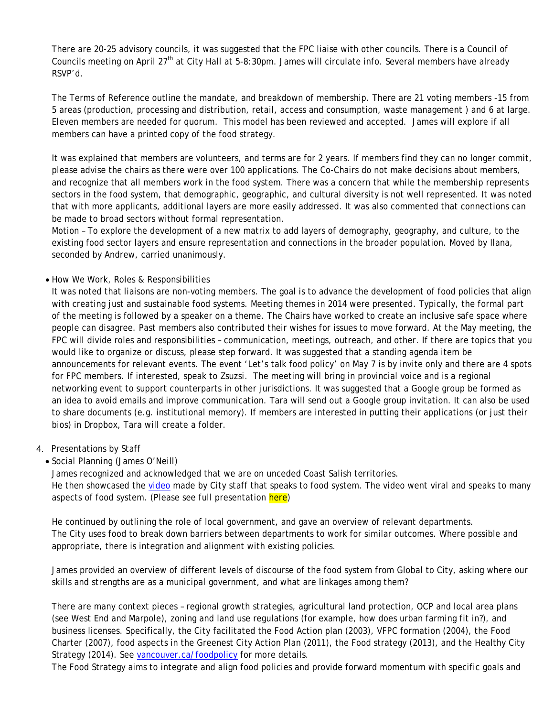There are 20-25 advisory councils, it was suggested that the FPC liaise with other councils. There is a Council of Councils meeting on April 27<sup>th</sup> at City Hall at 5-8:30pm. James will circulate info. Several members have already RSVP'd.

The Terms of Reference outline the mandate, and breakdown of membership. There are 21 voting members -15 from 5 areas (production, processing and distribution, retail, access and consumption, waste management ) and 6 at large. Eleven members are needed for quorum. This model has been reviewed and accepted. James will explore if all members can have a printed copy of the food strategy.

It was explained that members are volunteers, and terms are for 2 years. If members find they can no longer commit, please advise the chairs as there were over 100 applications. The Co-Chairs do not make decisions about members, and recognize that all members work in the food system. There was a concern that while the membership represents sectors in the food system, that demographic, geographic, and cultural diversity is not well represented. It was noted that with more applicants, additional layers are more easily addressed. It was also commented that connections can be made to broad sectors without formal representation.

Motion – To explore the development of a new matrix to add layers of demography, geography, and culture, to the existing food sector layers and ensure representation and connections in the broader population. Moved by Ilana, seconded by Andrew, carried unanimously.

### • How We Work, Roles & Responsibilities

It was noted that liaisons are non-voting members. The goal is to advance the development of food policies that align with creating just and sustainable food systems. Meeting themes in 2014 were presented. Typically, the formal part of the meeting is followed by a speaker on a theme. The Chairs have worked to create an inclusive safe space where people can disagree. Past members also contributed their wishes for issues to move forward. At the May meeting, the FPC will divide roles and responsibilities – communication, meetings, outreach, and other. If there are topics that you would like to organize or discuss, please step forward. It was suggested that a standing agenda item be announcements for relevant events. The event 'Let's talk food policy' on May 7 is by invite only and there are 4 spots for FPC members. If interested, speak to Zsuzsi. The meeting will bring in provincial voice and is a regional networking event to support counterparts in other jurisdictions. It was suggested that a Google group be formed as an idea to avoid emails and improve communication. Tara will send out a Google group invitation. It can also be used to share documents (e.g. institutional memory). If members are interested in putting their applications (or just their bios) in Dropbox, Tara will create a folder.

### 4. Presentations by Staff

• Social Planning (James O'Neill)

James recognized and acknowledged that we are on unceded Coast Salish territories. He then showcased the [video](https://www.youtube.com/watch?v=QGjKPcBz9YM) made by City staff that speaks to food system. The video went viral and speaks to many aspects of food system. (Please see full presentation here)

He continued by outlining the role of local government, and gave an overview of relevant departments. The City uses food to break down barriers between departments to work for similar outcomes. Where possible and appropriate, there is integration and alignment with existing policies.

James provided an overview of different levels of discourse of the food system from Global to City, asking where our skills and strengths are as a municipal government, and what are linkages among them?

There are many context pieces – regional growth strategies, agricultural land protection, OCP and local area plans (see West End and Marpole), zoning and land use regulations (for example, how does urban farming fit in?), and business licenses. Specifically, the City facilitated the Food Action plan (2003), VFPC formation (2004), the Food Charter (2007), food aspects in the Greenest City Action Plan (2011), the Food strategy (2013), and the Healthy City Strategy (2014). See vancouver.ca/foodpolicy for more details.

The Food Strategy aims to integrate and align food policies and provide forward momentum with specific goals and